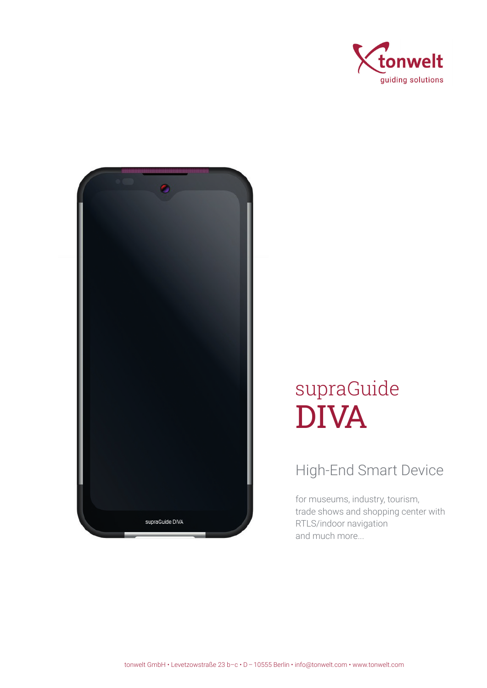



## supraGuide DIVA

## High-End Smart Device

for museums, industry, tourism, trade shows and shopping center with RTLS/indoor navigation and much more...